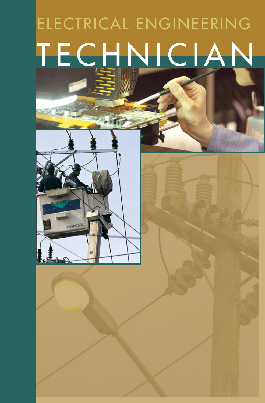# ELECTRICAL ENGINEERING TECHNICIAN